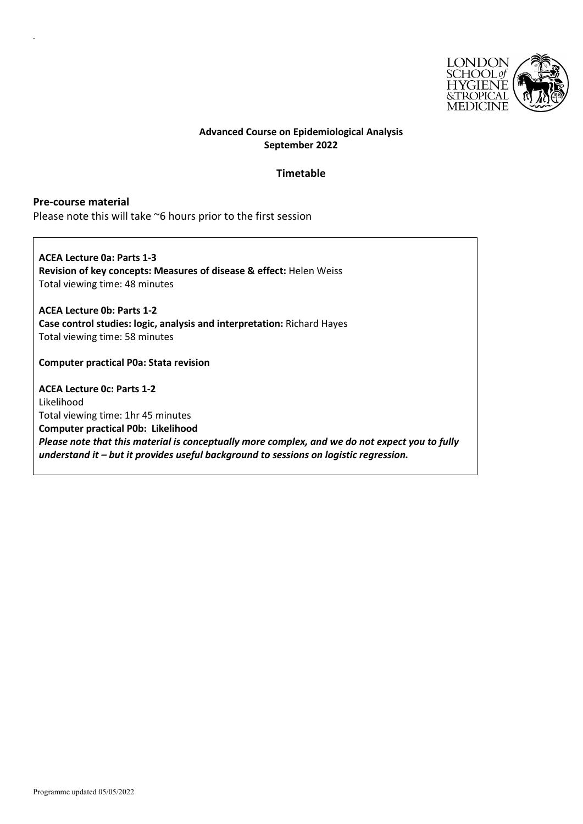

## **Advanced Course on Epidemiological Analysis September 2022**

## **Timetable**

**Pre-course material** Please note this will take ~6 hours prior to the first session

**ACEA Lecture 0a: Parts 1-3 Revision of key concepts: Measures of disease & effect:** Helen Weiss Total viewing time: 48 minutes

**ACEA Lecture 0b: Parts 1-2 Case control studies: logic, analysis and interpretation:** Richard Hayes Total viewing time: 58 minutes

**Computer practical P0a: Stata revision**

**ACEA Lecture 0c: Parts 1-2** Likelihood Total viewing time: 1hr 45 minutes **Computer practical P0b: Likelihood** *Please note that this material is conceptually more complex, and we do not expect you to fully understand it – but it provides useful background to sessions on logistic regression.*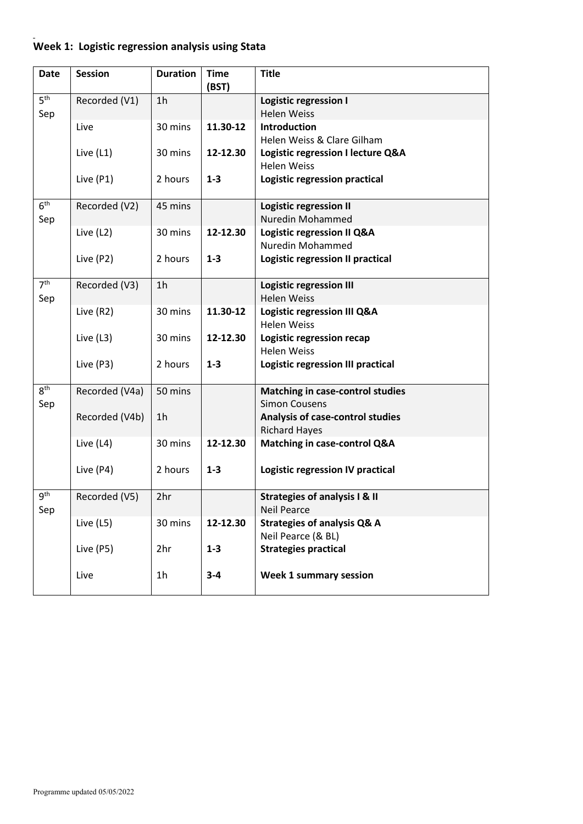## **Week 1: Logistic regression analysis using Stata**

| <b>Date</b>            | <b>Session</b> | <b>Duration</b> | <b>Time</b><br>(BST) | <b>Title</b>                                                    |
|------------------------|----------------|-----------------|----------------------|-----------------------------------------------------------------|
| 5 <sup>th</sup><br>Sep | Recorded (V1)  | 1 <sub>h</sub>  |                      | <b>Logistic regression I</b><br><b>Helen Weiss</b>              |
|                        | Live           | 30 mins         | 11.30-12             | <b>Introduction</b><br>Helen Weiss & Clare Gilham               |
|                        | Live (L1)      | 30 mins         | 12-12.30             | Logistic regression I lecture Q&A<br><b>Helen Weiss</b>         |
|                        | Live (P1)      | 2 hours         | $1 - 3$              | Logistic regression practical                                   |
| 6 <sup>th</sup><br>Sep | Recorded (V2)  | 45 mins         |                      | <b>Logistic regression II</b><br>Nuredin Mohammed               |
|                        | Live (L2)      | 30 mins         | 12-12.30             | Logistic regression II Q&A<br>Nuredin Mohammed                  |
|                        | Live (P2)      | 2 hours         | $1 - 3$              | <b>Logistic regression II practical</b>                         |
| 7 <sup>th</sup><br>Sep | Recorded (V3)  | 1 <sub>h</sub>  |                      | <b>Logistic regression III</b><br><b>Helen Weiss</b>            |
|                        | Live (R2)      | 30 mins         | 11.30-12             | Logistic regression III Q&A<br><b>Helen Weiss</b>               |
|                        | Live (L3)      | 30 mins         | 12-12.30             | Logistic regression recap<br><b>Helen Weiss</b>                 |
|                        | Live (P3)      | 2 hours         | $1 - 3$              | Logistic regression III practical                               |
| 8 <sup>th</sup><br>Sep | Recorded (V4a) | 50 mins         |                      | <b>Matching in case-control studies</b><br><b>Simon Cousens</b> |
|                        | Recorded (V4b) | 1 <sub>h</sub>  |                      | Analysis of case-control studies<br><b>Richard Hayes</b>        |
|                        | Live (L4)      | 30 mins         | 12-12.30             | Matching in case-control Q&A                                    |
|                        | Live (P4)      | 2 hours         | $1 - 3$              | Logistic regression IV practical                                |
| gth<br>Sep             | Recorded (V5)  | 2hr             |                      | <b>Strategies of analysis I &amp; II</b><br><b>Neil Pearce</b>  |
|                        | Live (L5)      | 30 mins         | 12-12.30             | <b>Strategies of analysis Q&amp; A</b><br>Neil Pearce (& BL)    |
|                        | Live (P5)      | 2hr             | $1 - 3$              | <b>Strategies practical</b>                                     |
|                        | Live           | 1 <sub>h</sub>  | $3 - 4$              | <b>Week 1 summary session</b>                                   |